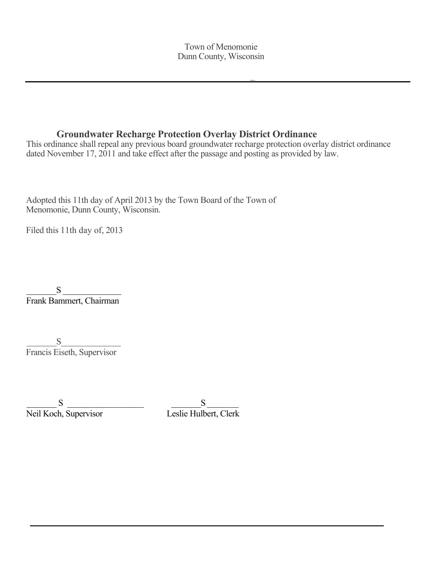## **Groundwater Recharge Protection Overlay District Ordinance**

This ordinance shall repeal any previous board groundwater recharge protection overlay district ordinance dated November 17, 2011 and take effect after the passage and posting as provided by law.

Adopted this 11th day of April 2013 by the Town Board of the Town of Menomonie, Dunn County, Wisconsin.

Filed this 11th day of, 2013

 $\bf S$ Frank Bammert, Chairman

 $\mathbf S$ Francis Eiseth, Supervisor

S<br>Neil Koch, Supervisor Leslie Hulb

Leslie Hulbert, Clerk

**\_\_\_\_\_\_\_\_\_\_\_\_\_\_\_\_\_\_\_\_\_\_\_\_\_\_\_\_\_\_\_\_\_\_\_\_\_\_\_\_\_\_\_\_\_\_\_\_\_**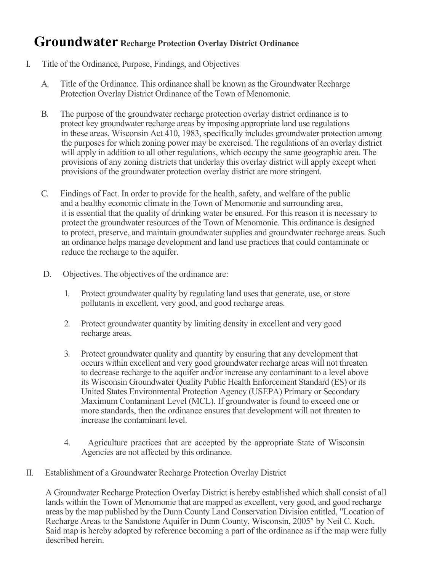## **Groundwater Recharge Protection Overlay District Ordinance**

- I. Title of the Ordinance, Purpose, Findings, and Objectives
	- A. Title of the Ordinance. This ordinance shall be known as the Groundwater Recharge Protection Overlay District Ordinance of the Town of Menomonie.
	- B. The purpose of the groundwater recharge protection overlay district ordinance is to protect key groundwater recharge areas by imposing appropriate land use regulations in these areas. Wisconsin Act 410, 1983, specifically includes groundwater protection among the purposes for which zoning power may be exercised. The regulations of an overlay district will apply in addition to all other regulations, which occupy the same geographic area. The provisions of any zoning districts that underlay this overlay district will apply except when provisions of the groundwater protection overlay district are more stringent.
	- C. Findings of Fact. In order to provide for the health, safety, and welfare of the public and a healthy economic climate in the Town of Menomonie and surrounding area, it is essential that the quality of drinking water be ensured. For this reason it is necessary to protect the groundwater resources of the Town of Menomonie. This ordinance is designed to protect, preserve, and maintain groundwater supplies and groundwater recharge areas. Such an ordinance helps manage development and land use practices that could contaminate or reduce the recharge to the aquifer.
	- D. Objectives. The objectives of the ordinance are:
		- 1. Protect groundwater quality by regulating land uses that generate, use, or store pollutants in excellent, very good, and good recharge areas.
		- 2. Protect groundwater quantity by limiting density in excellent and very good recharge areas.
		- 3. Protect groundwater quality and quantity by ensuring that any development that occurs within excellent and very good groundwater recharge areas will not threaten to decrease recharge to the aquifer and/or increase any contaminant to a level above its Wisconsin Groundwater Quality Public Health Enforcement Standard (ES) or its United States Environmental Protection Agency (USEPA) Primary or Secondary Maximum Contaminant Level (MCL). If groundwater is found to exceed one or more standards, then the ordinance ensures that development will not threaten to increase the contaminant level.
		- 4. Agriculture practices that are accepted by the appropriate State of Wisconsin Agencies are not affected by this ordinance.
- II. Establishment of a Groundwater Recharge Protection Overlay District

A Groundwater Recharge Protection Overlay District is hereby established which shall consist of all lands within the Town of Menomonie that are mapped as excellent, very good, and good recharge areas by the map published by the Dunn County Land Conservation Division entitled, "Location of Recharge Areas to the Sandstone Aquifer in Dunn County, Wisconsin, 2005" by Neil C. Koch. Said map is hereby adopted by reference becoming a part of the ordinance as if the map were fully described herein.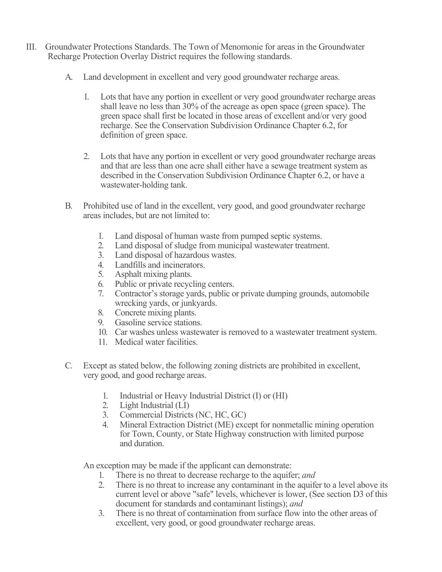- III. Groundwater Protections Standards. The Town of Menomonie for areas in the Groundwater Recharge Protection Overlay District requires the following standards.
	- A. Land development in excellent and very good groundwater recharge areas.
		- 1. Lots that have any portion in excellent or very good groundwater recharge areas shall leave no less than 30% of the acreage as open space (green space). The green space shall first be located in those areas of excellent and/or very good recharge. See the Conservation Subdivision Ordinance Chapter 6.2, for definition of green space.
		- 2. Lots that have any portion in excellent or very good groundwater recharge areas and that are less than one acre shall either have a sewage treatment system as described in the Conservation Subdivision Ordinance Chapter 6.2, or have a wastewater-holding tank.
	- B. Prohibited use of land in the excellent, very good, and good groundwater recharge areas includes, but are not limited to:
		- 1. Land disposal of human waste from pumped septic systems.
		- 2. Land disposal of sludge from municipal wastewater treatment.
		- 3. Land disposal of hazardous wastes.
		- 4. Landfills and incinerators.
		- 5. Asphalt mixing plants.
		- 6. Public or private recycling centers.
		- 7. Contractor's storage yards, public or private dumping grounds, automobile wrecking yards, or junkyards.
		- 8. Concrete mixing plants.
		- 9. Gasoline service stations.
		- 10. Car washes unless wastewater is removed to a wastewater treatment system.
		- 11. Medical water facilities.
	- C. Except as stated below, the following zoning districts are prohibited in excellent, very good, and good recharge areas.
		- 1. Industrial or Heavy Industrial District (I) or (HI)
		- 2. Light Industrial (LI)
		- 3. Commercial Districts (NC, HC, GC)
		- 4. Mineral Extraction District (ME) except for nonmetallic mining operation for Town, County, or State Highway construction with limited purpose and duration.

An exception may be made if the applicant can demonstrate:

- 1. There is no threat to decrease recharge to the aquifer; *and*
- 2. There is no threat to increase any contaminant in the aquifer to a level above its current level or above "safe" levels, whichever is lower, (See section D3 of this document for standards and contaminant listings); *and*
- 3. There is no threat of contamination from surface flow into the other areas of excellent, very good, or good groundwater recharge areas.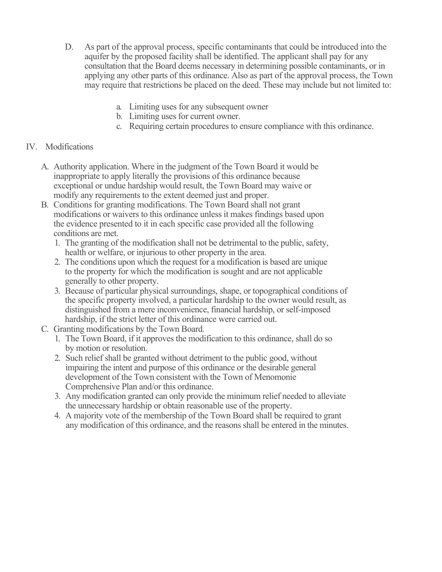- D. As part of the approval process, specific contaminants that could be introduced into the aquifer by the proposed facility shall be identified. The applicant shall pay for any consultation that the Board deems necessary in determining possible contaminants, or in applying any other parts of this ordinance. Also as part of the approval process, the Town may require that restrictions be placed on the deed. These may include but not limited to:
	- a. Limiting uses for any subsequent owner
	- b. Limiting uses for current owner.
	- c. Requiring certain procedures to ensure compliance with this ordinance.

## IV. Modifications

- A. Authority application. Where in the judgment of the Town Board it would be inappropriate to apply literally the provisions of this ordinance because exceptional or undue hardship would result, the Town Board may waive or modify any requirements to the extent deemed just and proper.
- B. Conditions for granting modifications. The Town Board shall not grant modifications or waivers to this ordinance unless it makes findings based upon the evidence presented to it in each specific case provided all the following conditions are met.
	- 1. The granting of the modification shall not be detrimental to the public, safety, health or welfare, or injurious to other property in the area.
	- 2. The conditions upon which the request for a modification is based are unique to the property for which the modification is sought and are not applicable generally to other property.
	- 3. Because of particular physical surroundings, shape, or topographical conditions of the specific property involved, a particular hardship to the owner would result, as distinguished from a mere inconvenience, financial hardship, or self-imposed hardship, if the strict letter of this ordinance were carried out.
- C. Granting modifications by the Town Board.
	- 1. The Town Board, if it approves the modification to this ordinance, shall do so by motion or resolution.
	- 2. Such relief shall be granted without detriment to the public good, without impairing the intent and purpose of this ordinance or the desirable general development of the Town consistent with the Town of Menomonie Comprehensive Plan and/or this ordinance.
	- 3. Any modification granted can only provide the minimum relief needed to alleviate the unnecessary hardship or obtain reasonable use of the property.
	- 4. A majority vote of the membership of the Town Board shall be required to grant any modification of this ordinance, and the reasons shall be entered in the minutes.